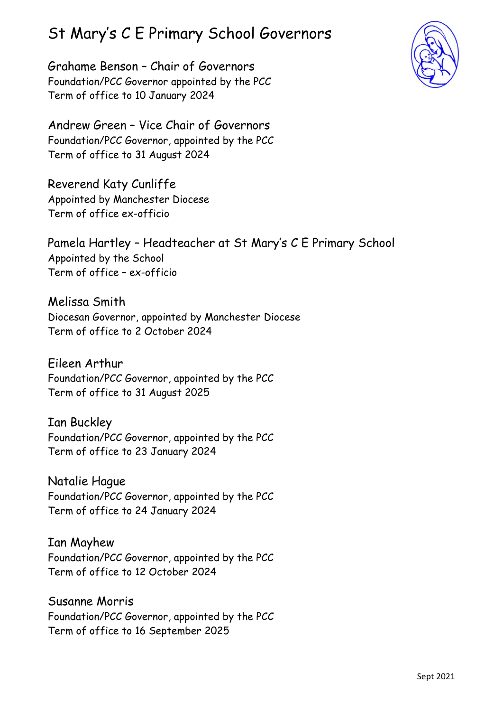## St Mary's C E Primary School Governors

Grahame Benson – Chair of Governors Foundation/PCC Governor appointed by the PCC Term of office to 10 January 2024



Andrew Green – Vice Chair of Governors Foundation/PCC Governor, appointed by the PCC Term of office to 31 August 2024

Reverend Katy Cunliffe Appointed by Manchester Diocese Term of office ex-officio

Pamela Hartley – Headteacher at St Mary's C E Primary School Appointed by the School Term of office – ex-officio

Melissa Smith Diocesan Governor, appointed by Manchester Diocese Term of office to 2 October 2024

Eileen Arthur Foundation/PCC Governor, appointed by the PCC Term of office to 31 August 2025

Ian Buckley Foundation/PCC Governor, appointed by the PCC Term of office to 23 January 2024

Natalie Hague Foundation/PCC Governor, appointed by the PCC Term of office to 24 January 2024

Ian Mayhew Foundation/PCC Governor, appointed by the PCC Term of office to 12 October 2024

Susanne Morris Foundation/PCC Governor, appointed by the PCC Term of office to 16 September 2025